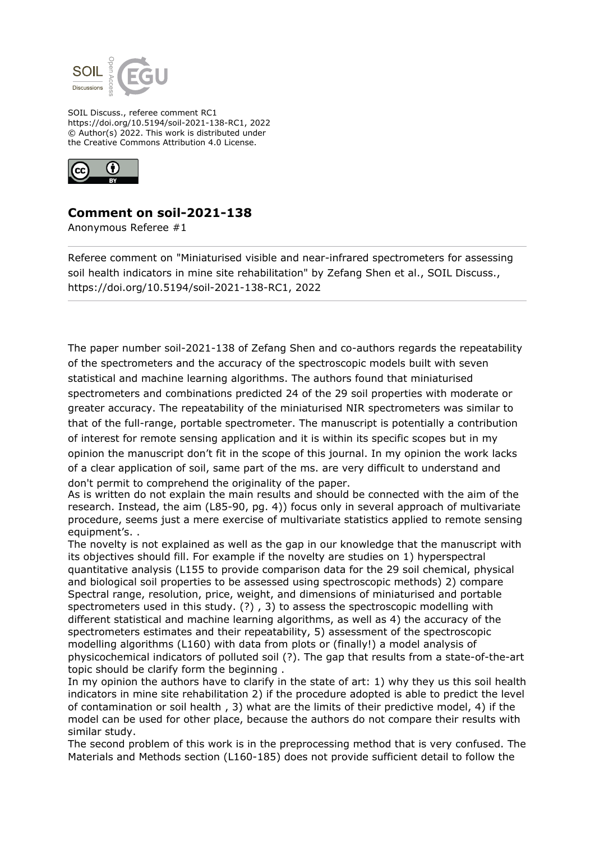

SOIL Discuss., referee comment RC1 https://doi.org/10.5194/soil-2021-138-RC1, 2022 © Author(s) 2022. This work is distributed under the Creative Commons Attribution 4.0 License.



## **Comment on soil-2021-138**

Anonymous Referee #1

Referee comment on "Miniaturised visible and near-infrared spectrometers for assessing soil health indicators in mine site rehabilitation" by Zefang Shen et al., SOIL Discuss., https://doi.org/10.5194/soil-2021-138-RC1, 2022

The paper number soil-2021-138 of Zefang Shen and co-authors regards the repeatability of the spectrometers and the accuracy of the spectroscopic models built with seven statistical and machine learning algorithms. The authors found that miniaturised spectrometers and combinations predicted 24 of the 29 soil properties with moderate or greater accuracy. The repeatability of the miniaturised NIR spectrometers was similar to that of the full-range, portable spectrometer. The manuscript is potentially a contribution of interest for remote sensing application and it is within its specific scopes but in my opinion the manuscript don't fit in the scope of this journal. In my opinion the work lacks of a clear application of soil, same part of the ms. are very difficult to understand and don't permit to comprehend the originality of the paper.

As is written do not explain the main results and should be connected with the aim of the research. Instead, the aim (L85-90, pg. 4)) focus only in several approach of multivariate procedure, seems just a mere exercise of multivariate statistics applied to remote sensing equipment's. .

The novelty is not explained as well as the gap in our knowledge that the manuscript with its objectives should fill. For example if the novelty are studies on 1) hyperspectral quantitative analysis (L155 to provide comparison data for the 29 soil chemical, physical and biological soil properties to be assessed using spectroscopic methods) 2) compare Spectral range, resolution, price, weight, and dimensions of miniaturised and portable spectrometers used in this study. (?) , 3) to assess the spectroscopic modelling with different statistical and machine learning algorithms, as well as 4) the accuracy of the spectrometers estimates and their repeatability, 5) assessment of the spectroscopic modelling algorithms (L160) with data from plots or (finally!) a model analysis of physicochemical indicators of polluted soil (?). The gap that results from a state-of-the-art topic should be clarify form the beginning .

In my opinion the authors have to clarify in the state of art: 1) why they us this soil health indicators in mine site rehabilitation 2) if the procedure adopted is able to predict the level of contamination or soil health , 3) what are the limits of their predictive model, 4) if the model can be used for other place, because the authors do not compare their results with similar study.

The second problem of this work is in the preprocessing method that is very confused. The Materials and Methods section (L160-185) does not provide sufficient detail to follow the